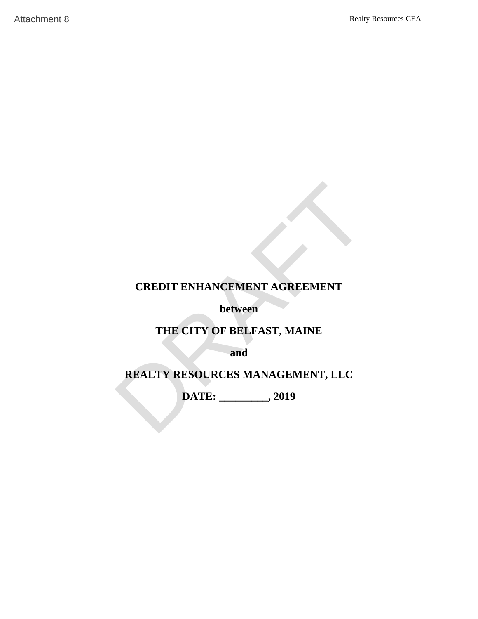# **CREDIT ENHANCEMENT AGREEMENT** DRAFTAttachment 8

**between**

# **THE CITY OF BELFAST, MAINE**

**and**

# **REALTY RESOURCES MANAGEMENT, LLC**

**DATE: \_\_\_\_\_\_\_\_\_, 2019**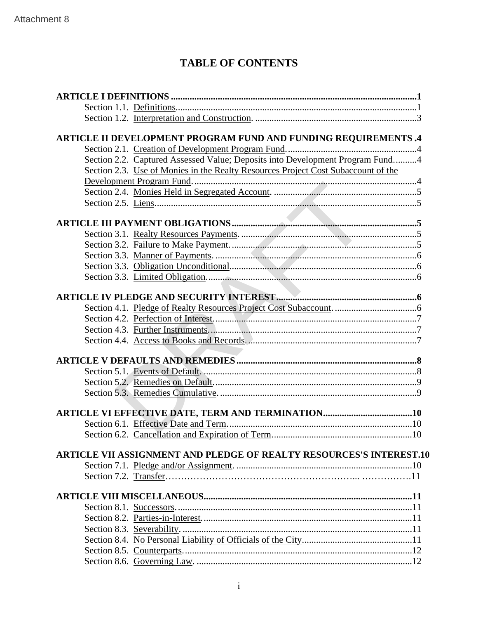# **TABLE OF CONTENTS**

| <b>TABLE OF CONTENTS</b> |                                                                                   |  |  |  |
|--------------------------|-----------------------------------------------------------------------------------|--|--|--|
|                          |                                                                                   |  |  |  |
|                          |                                                                                   |  |  |  |
|                          |                                                                                   |  |  |  |
|                          | ARTICLE II DEVELOPMENT PROGRAM FUND AND FUNDING REQUIREMENTS.4                    |  |  |  |
|                          |                                                                                   |  |  |  |
|                          | Section 2.2. Captured Assessed Value; Deposits into Development Program Fund4     |  |  |  |
|                          | Section 2.3. Use of Monies in the Realty Resources Project Cost Subaccount of the |  |  |  |
|                          |                                                                                   |  |  |  |
|                          |                                                                                   |  |  |  |
|                          |                                                                                   |  |  |  |
|                          |                                                                                   |  |  |  |
|                          |                                                                                   |  |  |  |
|                          |                                                                                   |  |  |  |
|                          |                                                                                   |  |  |  |
|                          |                                                                                   |  |  |  |
|                          |                                                                                   |  |  |  |
|                          |                                                                                   |  |  |  |
|                          |                                                                                   |  |  |  |
|                          |                                                                                   |  |  |  |
|                          |                                                                                   |  |  |  |
|                          |                                                                                   |  |  |  |
|                          |                                                                                   |  |  |  |
|                          |                                                                                   |  |  |  |
|                          |                                                                                   |  |  |  |
|                          |                                                                                   |  |  |  |
|                          |                                                                                   |  |  |  |
|                          |                                                                                   |  |  |  |
|                          |                                                                                   |  |  |  |
|                          |                                                                                   |  |  |  |
|                          |                                                                                   |  |  |  |
|                          | <b>ARTICLE VII ASSIGNMENT AND PLEDGE OF REALTY RESOURCES'S INTEREST.10</b>        |  |  |  |
|                          |                                                                                   |  |  |  |
|                          |                                                                                   |  |  |  |
|                          |                                                                                   |  |  |  |
|                          |                                                                                   |  |  |  |
|                          |                                                                                   |  |  |  |
|                          |                                                                                   |  |  |  |
|                          |                                                                                   |  |  |  |
|                          |                                                                                   |  |  |  |
|                          |                                                                                   |  |  |  |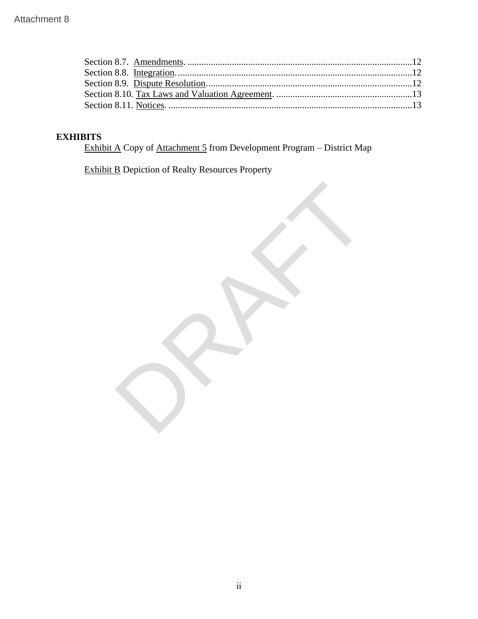| Attachment 8 |                                                                                                  |  |
|--------------|--------------------------------------------------------------------------------------------------|--|
|              |                                                                                                  |  |
|              | <b>EXHIBITS</b><br><b>Exhibit A Copy of Attachment 5 from Development Program - District Map</b> |  |
|              | <b>Exhibit B</b> Depiction of Realty Resources Property                                          |  |
|              |                                                                                                  |  |
|              |                                                                                                  |  |

# **EXHIBITS**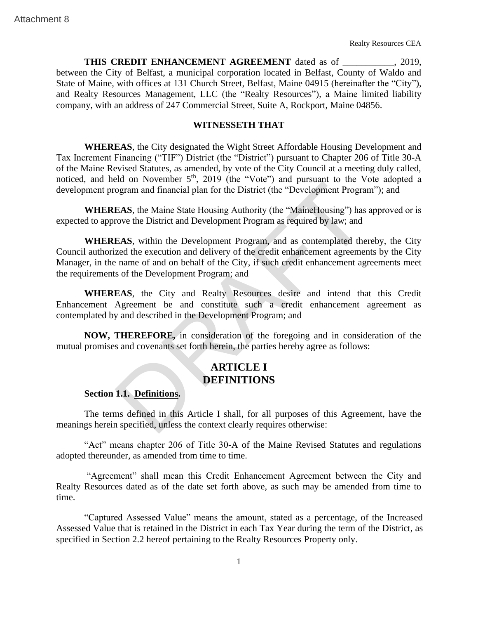**THIS CREDIT ENHANCEMENT AGREEMENT** dated as of \_\_\_\_\_\_\_\_\_\_\_, 2019, between the City of Belfast, a municipal corporation located in Belfast, County of Waldo and State of Maine, with offices at 131 Church Street, Belfast, Maine 04915 (hereinafter the "City"), and Realty Resources Management, LLC (the "Realty Resources"), a Maine limited liability company, with an address of 247 Commercial Street, Suite A, Rockport, Maine 04856. THIS CREDIT ENHANCEMENT AGREEMENT dured as of<br>
between the City of Belfast, a municipal corporation located in Belfast, County<br>
State of Maine, with offrees at 131 Church Street, Belfast, Maine 049;<br>
and Reulty Resources M

# **WITNESSETH THAT**

**WHEREAS**, the City designated the Wight Street Affordable Housing Development and Tax Increment Financing ("TIF") District (the "District") pursuant to Chapter 206 of Title 30-A of the Maine Revised Statutes, as amended, by vote of the City Council at a meeting duly called, noticed, and held on November 5<sup>th</sup>, 2019 (the "Vote") and pursuant to the Vote adopted a development program and financial plan for the District (the "Development Program"); and

**WHEREAS**, the Maine State Housing Authority (the "MaineHousing") has approved or is expected to approve the District and Development Program as required by law; and

**WHEREAS**, within the Development Program, and as contemplated thereby, the City Council authorized the execution and delivery of the credit enhancement agreements by the City Manager, in the name of and on behalf of the City, if such credit enhancement agreements meet the requirements of the Development Program; and

**WHEREAS**, the City and Realty Resources desire and intend that this Credit Enhancement Agreement be and constitute such a credit enhancement agreement as contemplated by and described in the Development Program; and

**NOW, THEREFORE,** in consideration of the foregoing and in consideration of the mutual promises and covenants set forth herein, the parties hereby agree as follows:

# **ARTICLE I DEFINITIONS**

### **Section 1.1. Definitions.**

The terms defined in this Article I shall, for all purposes of this Agreement, have the meanings herein specified, unless the context clearly requires otherwise:

"Act" means chapter 206 of Title 30-A of the Maine Revised Statutes and regulations adopted thereunder, as amended from time to time.

"Agreement" shall mean this Credit Enhancement Agreement between the City and Realty Resources dated as of the date set forth above, as such may be amended from time to time.

"Captured Assessed Value" means the amount, stated as a percentage, of the Increased Assessed Value that is retained in the District in each Tax Year during the term of the District, as specified in Section 2.2 hereof pertaining to the Realty Resources Property only.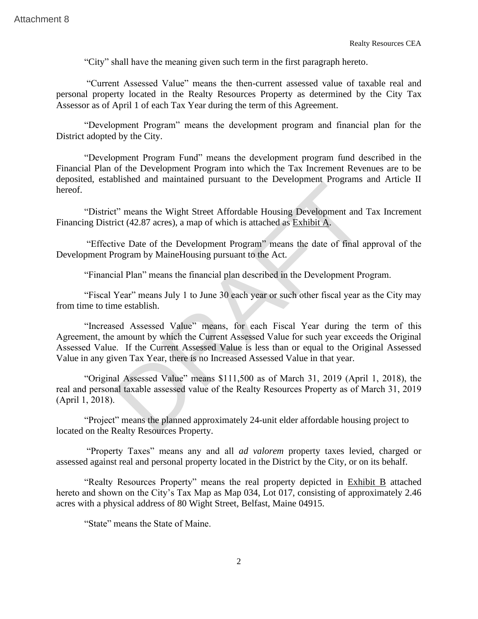"City" shall have the meaning given such term in the first paragraph hereto.

"Current Assessed Value" means the then-current assessed value of taxable real and personal property located in the Realty Resources Property as determined by the City Tax Assessor as of April 1 of each Tax Year during the term of this Agreement.

"Development Program" means the development program and financial plan for the District adopted by the City.

"Development Program Fund" means the development program fund described in the Financial Plan of the Development Program into which the Tax Increment Revenues are to be deposited, established and maintained pursuant to the Development Programs and Article II hereof.

"District" means the Wight Street Affordable Housing Development and Tax Increment Financing District (42.87 acres), a map of which is attached as Exhibit A.

"Effective Date of the Development Program" means the date of final approval of the Development Program by MaineHousing pursuant to the Act.

"Financial Plan" means the financial plan described in the Development Program.

"Fiscal Year" means July 1 to June 30 each year or such other fiscal year as the City may from time to time establish.

"Increased Assessed Value" means, for each Fiscal Year during the term of this Agreement, the amount by which the Current Assessed Value for such year exceeds the Original Assessed Value. If the Current Assessed Value is less than or equal to the Original Assessed Value in any given Tax Year, there is no Increased Assessed Value in that year. Realty<br>
"City" shall have the meaning given such term in the first paragraph leads<br>
"Current Assessed Value" means the then-current assessed value<br>
personal property located in the Realty Resources Property as determined b

"Original Assessed Value" means \$111,500 as of March 31, 2019 (April 1, 2018), the real and personal taxable assessed value of the Realty Resources Property as of March 31, 2019 (April 1, 2018).

"Project" means the planned approximately 24-unit elder affordable housing project to located on the Realty Resources Property.

"Property Taxes" means any and all *ad valorem* property taxes levied, charged or assessed against real and personal property located in the District by the City, or on its behalf.

"Realty Resources Property" means the real property depicted in Exhibit B attached hereto and shown on the City's Tax Map as Map 034, Lot 017, consisting of approximately 2.46 acres with a physical address of 80 Wight Street, Belfast, Maine 04915.

"State" means the State of Maine.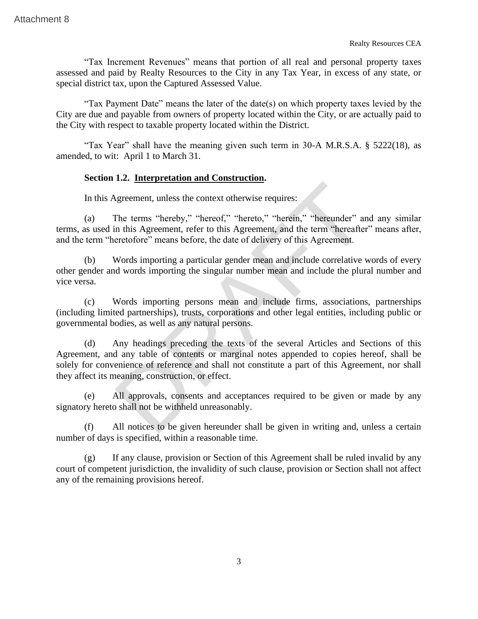"Tax Increment Revenues" means that portion of all real and personal property taxes assessed and paid by Realty Resources to the City in any Tax Year, in excess of any state, or special district tax, upon the Captured Assessed Value.

"Tax Payment Date" means the later of the date(s) on which property taxes levied by the City are due and payable from owners of property located within the City, or are actually paid to the City with respect to taxable property located within the District.

"Tax Year" shall have the meaning given such term in 30-A M.R.S.A. § 5222(18), as amended, to wit: April 1 to March 31.

# **Section 1.2. Interpretation and Construction.**

In this Agreement, unless the context otherwise requires:

(a) The terms "hereby," "hereof," "hereto," "herein," "hereunder" and any similar terms, as used in this Agreement, refer to this Agreement, and the term "hereafter" means after, and the term "heretofore" means before, the date of delivery of this Agreement.

(b) Words importing a particular gender mean and include correlative words of every other gender and words importing the singular number mean and include the plural number and vice versa.

(c) Words importing persons mean and include firms, associations, partnerships (including limited partnerships), trusts, corporations and other legal entities, including public or governmental bodies, as well as any natural persons.

(d) Any headings preceding the texts of the several Articles and Sections of this Agreement, and any table of contents or marginal notes appended to copies hereof, shall be solely for convenience of reference and shall not constitute a part of this Agreement, nor shall they affect its meaning, construction, or effect. Attachment 8<br>
Tax Increment Revenues" means that portion of all real and personal<br>
measures are and paid by Readiy Resources to the City in any Tax Year, in excess o<br>
special district tax, upon the Captured Assessed Value

(e) All approvals, consents and acceptances required to be given or made by any signatory hereto shall not be withheld unreasonably.

(f) All notices to be given hereunder shall be given in writing and, unless a certain number of days is specified, within a reasonable time.

(g) If any clause, provision or Section of this Agreement shall be ruled invalid by any court of competent jurisdiction, the invalidity of such clause, provision or Section shall not affect any of the remaining provisions hereof.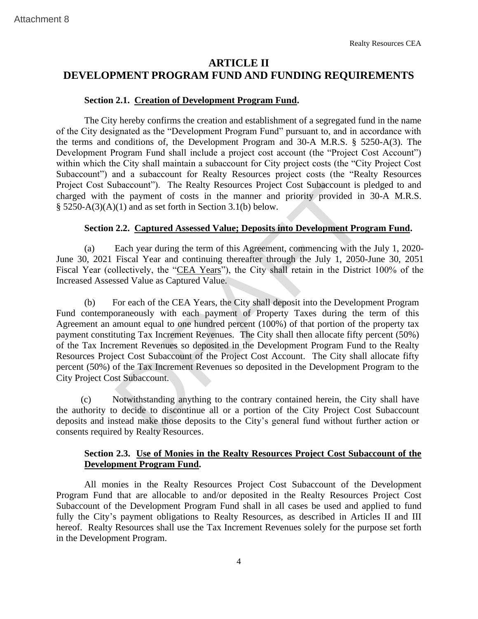# **ARTICLE II DEVELOPMENT PROGRAM FUND AND FUNDING REQUIREMENTS**

# **Section 2.1. Creation of Development Program Fund.**

The City hereby confirms the creation and establishment of a segregated fund in the name of the City designated as the "Development Program Fund" pursuant to, and in accordance with the terms and conditions of, the Development Program and 30-A M.R.S. § 5250-A(3). The Development Program Fund shall include a project cost account (the "Project Cost Account") within which the City shall maintain a subaccount for City project costs (the "City Project Cost Subaccount") and a subaccount for Realty Resources project costs (the "Realty Resources Project Cost Subaccount"). The Realty Resources Project Cost Subaccount is pledged to and charged with the payment of costs in the manner and priority provided in 30-A M.R.S.  $§ 5250-A(3)(A)(1)$  and as set forth in Section 3.1(b) below. Attachment 8<br> **ARTICLE II**<br> **CALCOPY (CALCOPY) TRANCORAM FUNDAND FUNDING REQUIR**<br> **CALCOPY (EXECUTE SECUTE THEOT AT THEOT AT THEOT AT THEOT (THEOT THEOT THEOT THEOT THEOT THEOT THEOT THEOT THEOT THEOT THEOT THEOT THEOT TH** 

# **Section 2.2. Captured Assessed Value; Deposits into Development Program Fund.**

(a) Each year during the term of this Agreement, commencing with the July 1, 2020- June 30, 2021 Fiscal Year and continuing thereafter through the July 1, 2050-June 30, 2051 Fiscal Year (collectively, the "CEA Years"), the City shall retain in the District 100% of the Increased Assessed Value as Captured Value.

(b) For each of the CEA Years, the City shall deposit into the Development Program Fund contemporaneously with each payment of Property Taxes during the term of this Agreement an amount equal to one hundred percent (100%) of that portion of the property tax payment constituting Tax Increment Revenues. The City shall then allocate fifty percent (50%) of the Tax Increment Revenues so deposited in the Development Program Fund to the Realty Resources Project Cost Subaccount of the Project Cost Account. The City shall allocate fifty percent (50%) of the Tax Increment Revenues so deposited in the Development Program to the City Project Cost Subaccount.

(c) Notwithstanding anything to the contrary contained herein, the City shall have the authority to decide to discontinue all or a portion of the City Project Cost Subaccount deposits and instead make those deposits to the City's general fund without further action or consents required by Realty Resources.

# **Section 2.3. Use of Monies in the Realty Resources Project Cost Subaccount of the Development Program Fund.**

All monies in the Realty Resources Project Cost Subaccount of the Development Program Fund that are allocable to and/or deposited in the Realty Resources Project Cost Subaccount of the Development Program Fund shall in all cases be used and applied to fund fully the City's payment obligations to Realty Resources, as described in Articles II and III hereof. Realty Resources shall use the Tax Increment Revenues solely for the purpose set forth in the Development Program.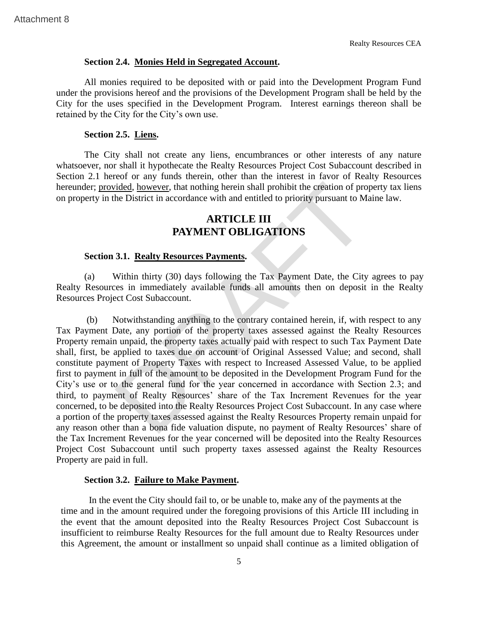# **Section 2.4. Monies Held in Segregated Account.**

All monies required to be deposited with or paid into the Development Program Fund under the provisions hereof and the provisions of the Development Program shall be held by the City for the uses specified in the Development Program. Interest earnings thereon shall be retained by the City for the City's own use.

# **Section 2.5. Liens.**

The City shall not create any liens, encumbrances or other interests of any nature whatsoever, nor shall it hypothecate the Realty Resources Project Cost Subaccount described in Section 2.1 hereof or any funds therein, other than the interest in favor of Realty Resources hereunder; provided, however, that nothing herein shall prohibit the creation of property tax liens on property in the District in accordance with and entitled to priority pursuant to Maine law.

# **ARTICLE III PAYMENT OBLIGATIONS**

### **Section 3.1. Realty Resources Payments.**

(a) Within thirty (30) days following the Tax Payment Date, the City agrees to pay Realty Resources in immediately available funds all amounts then on deposit in the Realty Resources Project Cost Subaccount.

(b) Notwithstanding anything to the contrary contained herein, if, with respect to any Tax Payment Date, any portion of the property taxes assessed against the Realty Resources Property remain unpaid, the property taxes actually paid with respect to such Tax Payment Date shall, first, be applied to taxes due on account of Original Assessed Value; and second, shall constitute payment of Property Taxes with respect to Increased Assessed Value, to be applied first to payment in full of the amount to be deposited in the Development Program Fund for the City's use or to the general fund for the year concerned in accordance with Section 2.3; and third, to payment of Realty Resources' share of the Tax Increment Revenues for the year concerned, to be deposited into the Realty Resources Project Cost Subaccount. In any case where a portion of the property taxes assessed against the Realty Resources Property remain unpaid for any reason other than a bona fide valuation dispute, no payment of Realty Resources' share of the Tax Increment Revenues for the year concerned will be deposited into the Realty Resources Project Cost Subaccount until such property taxes assessed against the Realty Resources Property are paid in full. Section 2.4. Monies Held in Segregated Account.<br>
Neather and Held In Section A. Monies Held in Segregated Account.<br>
All monies required to be deposited with or paid into the Development Program shall<br>
City for the uses spe

### **Section 3.2. Failure to Make Payment.**

In the event the City should fail to, or be unable to, make any of the payments at the time and in the amount required under the foregoing provisions of this Article III including in the event that the amount deposited into the Realty Resources Project Cost Subaccount is insufficient to reimburse Realty Resources for the full amount due to Realty Resources under this Agreement, the amount or installment so unpaid shall continue as a limited obligation of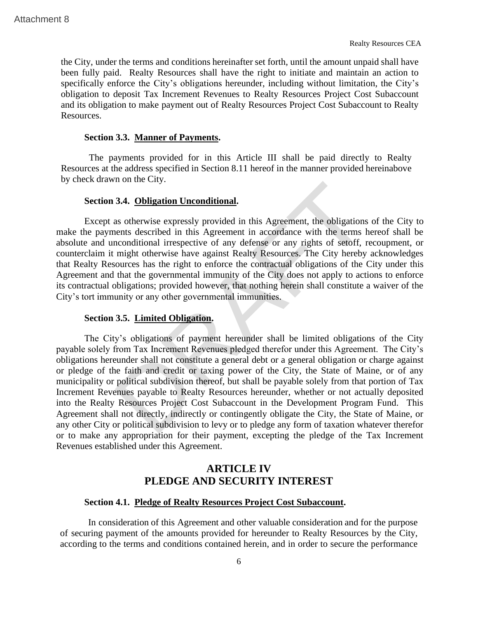the City, under the terms and conditions hereinafter set forth, until the amount unpaid shall have been fully paid. Realty Resources shall have the right to initiate and maintain an action to specifically enforce the City's obligations hereunder, including without limitation, the City's obligation to deposit Tax Increment Revenues to Realty Resources Project Cost Subaccount and its obligation to make payment out of Realty Resources Project Cost Subaccount to Realty Resources.

# **Section 3.3. Manner of Payments.**

The payments provided for in this Article III shall be paid directly to Realty Resources at the address specified in Section 8.11 hereof in the manner provided hereinabove by check drawn on the City.

### **Section 3.4. Obligation Unconditional.**

Except as otherwise expressly provided in this Agreement, the obligations of the City to make the payments described in this Agreement in accordance with the terms hereof shall be absolute and unconditional irrespective of any defense or any rights of setoff, recoupment, or counterclaim it might otherwise have against Realty Resources. The City hereby acknowledges that Realty Resources has the right to enforce the contractual obligations of the City under this Agreement and that the governmental immunity of the City does not apply to actions to enforce its contractual obligations; provided however, that nothing herein shall constitute a waiver of the City's tort immunity or any other governmental immunities.

### **Section 3.5. Limited Obligation.**

The City's obligations of payment hereunder shall be limited obligations of the City payable solely from Tax Increment Revenues pledged therefor under this Agreement. The City's obligations hereunder shall not constitute a general debt or a general obligation or charge against or pledge of the faith and credit or taxing power of the City, the State of Maine, or of any municipality or political subdivision thereof, but shall be payable solely from that portion of Tax Increment Revenues payable to Realty Resources hereunder, whether or not actually deposited into the Realty Resources Project Cost Subaccount in the Development Program Fund. This Agreement shall not directly, indirectly or contingently obligate the City, the State of Maine, or any other City or political subdivision to levy or to pledge any form of taxation whatever therefor or to make any appropriation for their payment, excepting the pledge of the Tax Increment Revenues established under this Agreement. Attachment 8<br>
the City, under the terms and conditions hereinafter set forth, until the amount any<br>
been fully paid. Realty Resources shall have the right to initiate and maintain<br>
specifically enforce the City's obligatio

# **ARTICLE IV PLEDGE AND SECURITY INTEREST**

# **Section 4.1. Pledge of Realty Resources Project Cost Subaccount.**

In consideration of this Agreement and other valuable consideration and for the purpose of securing payment of the amounts provided for hereunder to Realty Resources by the City, according to the terms and conditions contained herein, and in order to secure the performance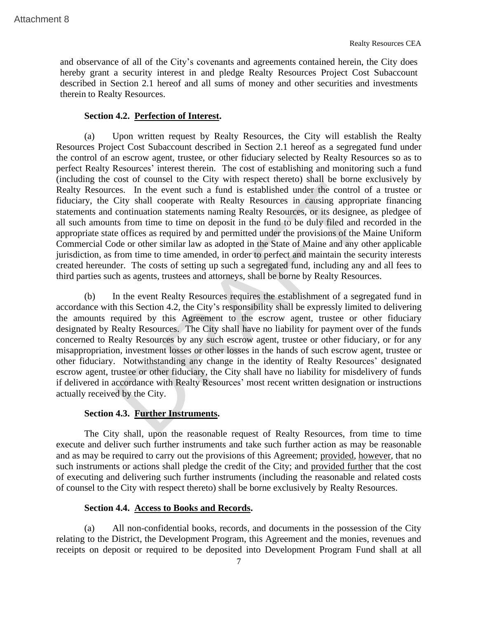and observance of all of the City's covenants and agreements contained herein, the City does hereby grant a security interest in and pledge Realty Resources Project Cost Subaccount described in Section 2.1 hereof and all sums of money and other securities and investments therein to Realty Resources.

# **Section 4.2. Perfection of Interest.**

(a) Upon written request by Realty Resources, the City will establish the Realty Resources Project Cost Subaccount described in Section 2.1 hereof as a segregated fund under the control of an escrow agent, trustee, or other fiduciary selected by Realty Resources so as to perfect Realty Resources' interest therein. The cost of establishing and monitoring such a fund (including the cost of counsel to the City with respect thereto) shall be borne exclusively by Realty Resources. In the event such a fund is established under the control of a trustee or fiduciary, the City shall cooperate with Realty Resources in causing appropriate financing statements and continuation statements naming Realty Resources, or its designee, as pledgee of all such amounts from time to time on deposit in the fund to be duly filed and recorded in the appropriate state offices as required by and permitted under the provisions of the Maine Uniform Commercial Code or other similar law as adopted in the State of Maine and any other applicable jurisdiction, as from time to time amended, in order to perfect and maintain the security interests created hereunder. The costs of setting up such a segregated fund, including any and all fees to third parties such as agents, trustees and attorneys, shall be borne by Realty Resources. Realment 8<br>
and observance of all of the City's covenants and agreements contained here)<br>
hereby grant a security interest in and pledge Reatly Resources Project Cos<br>
described in Section 2.1 hereof and all sums of morey a

(b) In the event Realty Resources requires the establishment of a segregated fund in accordance with this Section 4.2, the City's responsibility shall be expressly limited to delivering the amounts required by this Agreement to the escrow agent, trustee or other fiduciary designated by Realty Resources. The City shall have no liability for payment over of the funds concerned to Realty Resources by any such escrow agent, trustee or other fiduciary, or for any misappropriation, investment losses or other losses in the hands of such escrow agent, trustee or other fiduciary. Notwithstanding any change in the identity of Realty Resources' designated escrow agent, trustee or other fiduciary, the City shall have no liability for misdelivery of funds if delivered in accordance with Realty Resources' most recent written designation or instructions actually received by the City.

# **Section 4.3. Further Instruments.**

The City shall, upon the reasonable request of Realty Resources, from time to time execute and deliver such further instruments and take such further action as may be reasonable and as may be required to carry out the provisions of this Agreement; provided, however, that no such instruments or actions shall pledge the credit of the City; and provided further that the cost of executing and delivering such further instruments (including the reasonable and related costs of counsel to the City with respect thereto) shall be borne exclusively by Realty Resources.

# **Section 4.4. Access to Books and Records.**

(a) All non-confidential books, records, and documents in the possession of the City relating to the District, the Development Program, this Agreement and the monies, revenues and receipts on deposit or required to be deposited into Development Program Fund shall at all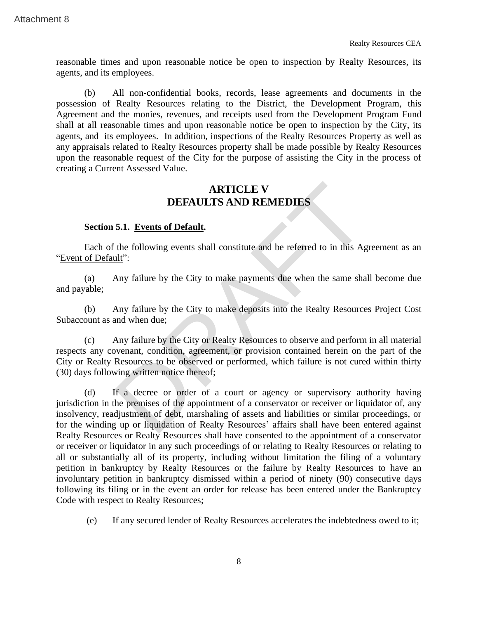reasonable times and upon reasonable notice be open to inspection by Realty Resources, its agents, and its employees.

(b) All non-confidential books, records, lease agreements and documents in the possession of Realty Resources relating to the District, the Development Program, this Agreement and the monies, revenues, and receipts used from the Development Program Fund shall at all reasonable times and upon reasonable notice be open to inspection by the City, its agents, and its employees. In addition, inspections of the Realty Resources Property as well as any appraisals related to Realty Resources property shall be made possible by Realty Resources upon the reasonable request of the City for the purpose of assisting the City in the process of creating a Current Assessed Value. Attachment 8<br>
Treasonable times and upon reasonable notice be open to inspection by Realty<br>
reasons and its employees.<br>
(b) All non-confidential books, records, lease agreements and doet<br>
possession of Realty Resources rel

# **ARTICLE V DEFAULTS AND REMEDIES**

### **Section 5.1. Events of Default.**

Each of the following events shall constitute and be referred to in this Agreement as an "Event of Default":

(a) Any failure by the City to make payments due when the same shall become due and payable;

(b) Any failure by the City to make deposits into the Realty Resources Project Cost Subaccount as and when due;

(c) Any failure by the City or Realty Resources to observe and perform in all material respects any covenant, condition, agreement, or provision contained herein on the part of the City or Realty Resources to be observed or performed, which failure is not cured within thirty (30) days following written notice thereof;

(d) If a decree or order of a court or agency or supervisory authority having jurisdiction in the premises of the appointment of a conservator or receiver or liquidator of, any insolvency, readjustment of debt, marshaling of assets and liabilities or similar proceedings, or for the winding up or liquidation of Realty Resources' affairs shall have been entered against Realty Resources or Realty Resources shall have consented to the appointment of a conservator or receiver or liquidator in any such proceedings of or relating to Realty Resources or relating to all or substantially all of its property, including without limitation the filing of a voluntary petition in bankruptcy by Realty Resources or the failure by Realty Resources to have an involuntary petition in bankruptcy dismissed within a period of ninety (90) consecutive days following its filing or in the event an order for release has been entered under the Bankruptcy Code with respect to Realty Resources;

(e) If any secured lender of Realty Resources accelerates the indebtedness owed to it;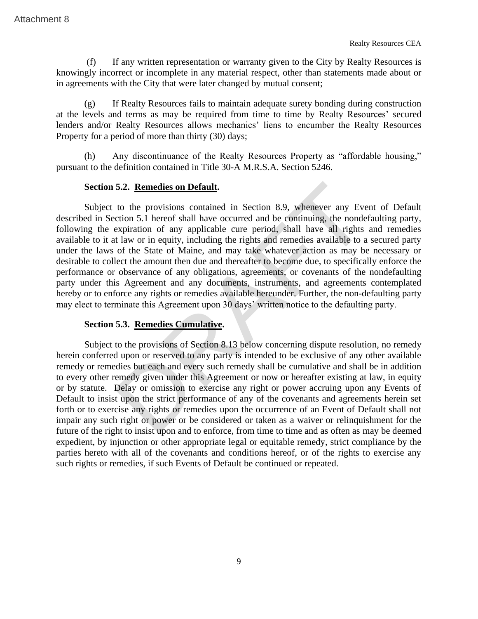(f) If any written representation or warranty given to the City by Realty Resources is knowingly incorrect or incomplete in any material respect, other than statements made about or in agreements with the City that were later changed by mutual consent;

(g) If Realty Resources fails to maintain adequate surety bonding during construction at the levels and terms as may be required from time to time by Realty Resources' secured lenders and/or Realty Resources allows mechanics' liens to encumber the Realty Resources Property for a period of more than thirty (30) days;

(h) Any discontinuance of the Realty Resources Property as "affordable housing," pursuant to the definition contained in Title 30-A M.R.S.A. Section 5246.

### **Section 5.2. Remedies on Default.**

Subject to the provisions contained in Section 8.9, whenever any Event of Default described in Section 5.1 hereof shall have occurred and be continuing, the nondefaulting party, following the expiration of any applicable cure period, shall have all rights and remedies available to it at law or in equity, including the rights and remedies available to a secured party under the laws of the State of Maine, and may take whatever action as may be necessary or desirable to collect the amount then due and thereafter to become due, to specifically enforce the performance or observance of any obligations, agreements, or covenants of the nondefaulting party under this Agreement and any documents, instruments, and agreements contemplated hereby or to enforce any rights or remedies available hereunder. Further, the non-defaulting party may elect to terminate this Agreement upon 30 days' written notice to the defaulting party. 5.2. **Remedies on Default.**<br>to the provisions contained in Section 8.9, whenever any Evection 5.1 hereof shall have occurred and be continuing, the nonde expiration of any applicable cure period, shall have all rights at

# **Section 5.3. Remedies Cumulative.**

Subject to the provisions of Section 8.13 below concerning dispute resolution, no remedy herein conferred upon or reserved to any party is intended to be exclusive of any other available remedy or remedies but each and every such remedy shall be cumulative and shall be in addition to every other remedy given under this Agreement or now or hereafter existing at law, in equity or by statute. Delay or omission to exercise any right or power accruing upon any Events of Default to insist upon the strict performance of any of the covenants and agreements herein set forth or to exercise any rights or remedies upon the occurrence of an Event of Default shall not impair any such right or power or be considered or taken as a waiver or relinquishment for the future of the right to insist upon and to enforce, from time to time and as often as may be deemed expedient, by injunction or other appropriate legal or equitable remedy, strict compliance by the parties hereto with all of the covenants and conditions hereof, or of the rights to exercise any such rights or remedies, if such Events of Default be continued or repeated.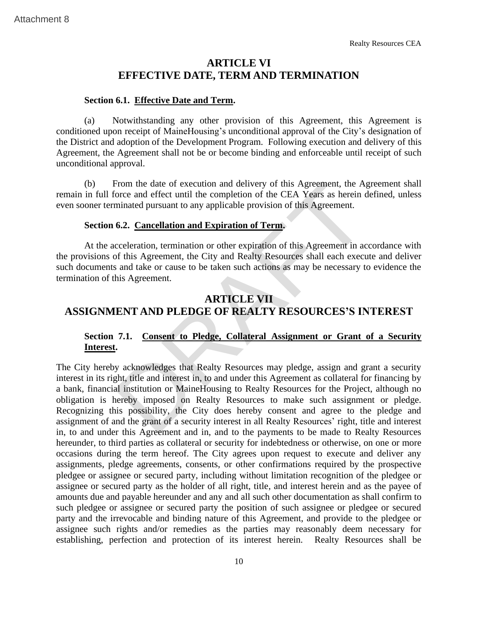# **ARTICLE VI EFFECTIVE DATE, TERM AND TERMINATION**

# **Section 6.1. Effective Date and Term.**

(a) Notwithstanding any other provision of this Agreement, this Agreement is conditioned upon receipt of MaineHousing's unconditional approval of the City's designation of the District and adoption of the Development Program. Following execution and delivery of this Agreement, the Agreement shall not be or become binding and enforceable until receipt of such unconditional approval.

(b) From the date of execution and delivery of this Agreement, the Agreement shall remain in full force and effect until the completion of the CEA Years as herein defined, unless even sooner terminated pursuant to any applicable provision of this Agreement.

### **Section 6.2. Cancellation and Expiration of Term.**

At the acceleration, termination or other expiration of this Agreement in accordance with the provisions of this Agreement, the City and Realty Resources shall each execute and deliver such documents and take or cause to be taken such actions as may be necessary to evidence the termination of this Agreement.

# **ARTICLE VII ASSIGNMENT AND PLEDGE OF REALTY RESOURCES'S INTEREST**

# **Section 7.1. Consent to Pledge, Collateral Assignment or Grant of a Security Interest.**

The City hereby acknowledges that Realty Resources may pledge, assign and grant a security interest in its right, title and interest in, to and under this Agreement as collateral for financing by a bank, financial institution or MaineHousing to Realty Resources for the Project, although no obligation is hereby imposed on Realty Resources to make such assignment or pledge. Recognizing this possibility, the City does hereby consent and agree to the pledge and assignment of and the grant of a security interest in all Realty Resources' right, title and interest in, to and under this Agreement and in, and to the payments to be made to Realty Resources hereunder, to third parties as collateral or security for indebtedness or otherwise, on one or more occasions during the term hereof. The City agrees upon request to execute and deliver any assignments, pledge agreements, consents, or other confirmations required by the prospective pledgee or assignee or secured party, including without limitation recognition of the pledgee or assignee or secured party as the holder of all right, title, and interest herein and as the payee of amounts due and payable hereunder and any and all such other documentation as shall confirm to such pledgee or assignee or secured party the position of such assignee or pledgee or secured party and the irrevocable and binding nature of this Agreement, and provide to the pledgee or assignee such rights and/or remedies as the parties may reasonably deem necessary for establishing, perfection and protection of its interest herein. Realty Resources shall be **EXECUTE ANTICLE V1**<br> **EXECUTIVE DATE, TERM AND TERMINATION**<br> **EXECUTIVE DATE, TERM AND TERMINATION**<br>
Section 6.1. <u>Effective Date and Term</u>.<br>
(a) Notwithstanding any other provision of this Agreement, this<br>
conditioned up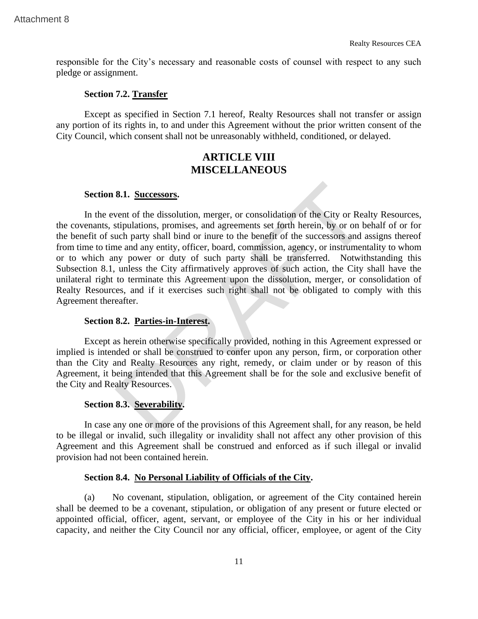responsible for the City's necessary and reasonable costs of counsel with respect to any such pledge or assignment.

# **Section 7.2. Transfer**

Except as specified in Section 7.1 hereof, Realty Resources shall not transfer or assign any portion of its rights in, to and under this Agreement without the prior written consent of the City Council, which consent shall not be unreasonably withheld, conditioned, or delayed.

# **ARTICLE VIII MISCELLANEOUS**

# **Section 8.1. Successors.**

In the event of the dissolution, merger, or consolidation of the City or Realty Resources, the covenants, stipulations, promises, and agreements set forth herein, by or on behalf of or for the benefit of such party shall bind or inure to the benefit of the successors and assigns thereof from time to time and any entity, officer, board, commission, agency, or instrumentality to whom or to which any power or duty of such party shall be transferred. Notwithstanding this Subsection 8.1, unless the City affirmatively approves of such action, the City shall have the unilateral right to terminate this Agreement upon the dissolution, merger, or consolidation of Realty Resources, and if it exercises such right shall not be obligated to comply with this Agreement thereafter. Realtment 8<br>
Realtment 8<br>
Transfort control and the City's necessary and reasonable costs of counsel with respect<br>
pledge or assignment.<br>
Section 7.2. Transfort<br>
Except as specified in Section 7.1 hereof, Realty Resources

### **Section 8.2. Parties-in-Interest.**

Except as herein otherwise specifically provided, nothing in this Agreement expressed or implied is intended or shall be construed to confer upon any person, firm, or corporation other than the City and Realty Resources any right, remedy, or claim under or by reason of this Agreement, it being intended that this Agreement shall be for the sole and exclusive benefit of the City and Realty Resources.

# **Section 8.3. Severability.**

In case any one or more of the provisions of this Agreement shall, for any reason, be held to be illegal or invalid, such illegality or invalidity shall not affect any other provision of this Agreement and this Agreement shall be construed and enforced as if such illegal or invalid provision had not been contained herein.

# **Section 8.4. No Personal Liability of Officials of the City.**

(a) No covenant, stipulation, obligation, or agreement of the City contained herein shall be deemed to be a covenant, stipulation, or obligation of any present or future elected or appointed official, officer, agent, servant, or employee of the City in his or her individual capacity, and neither the City Council nor any official, officer, employee, or agent of the City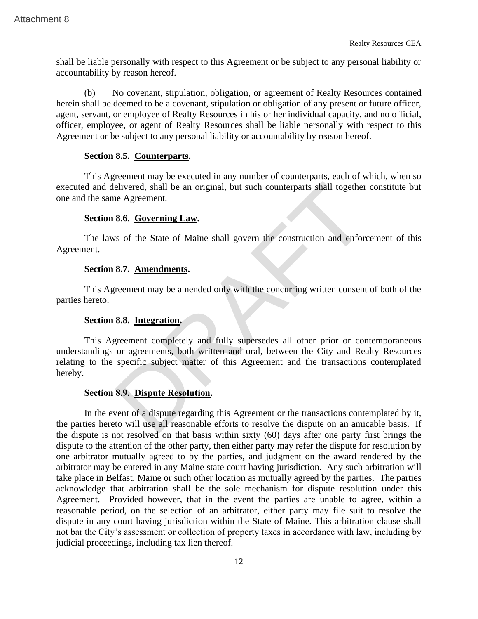shall be liable personally with respect to this Agreement or be subject to any personal liability or accountability by reason hereof.

(b) No covenant, stipulation, obligation, or agreement of Realty Resources contained herein shall be deemed to be a covenant, stipulation or obligation of any present or future officer, agent, servant, or employee of Realty Resources in his or her individual capacity, and no official, officer, employee, or agent of Realty Resources shall be liable personally with respect to this Agreement or be subject to any personal liability or accountability by reason hereof. Attachment 8<br>
Shall be liable personally with respect to this Agreement or be subject to any personal<br>
saccountability by reason hereof.<br>
(b) No covenant, stipulation, obligation, or agreement of Realty Resources<br>
neemi, s

# **Section 8.5. Counterparts.**

This Agreement may be executed in any number of counterparts, each of which, when so executed and delivered, shall be an original, but such counterparts shall together constitute but one and the same Agreement.

# **Section 8.6. Governing Law.**

The laws of the State of Maine shall govern the construction and enforcement of this Agreement.

# **Section 8.7. Amendments.**

This Agreement may be amended only with the concurring written consent of both of the parties hereto.

# **Section 8.8. Integration.**

This Agreement completely and fully supersedes all other prior or contemporaneous understandings or agreements, both written and oral, between the City and Realty Resources relating to the specific subject matter of this Agreement and the transactions contemplated hereby.

# **Section 8.9. Dispute Resolution.**

In the event of a dispute regarding this Agreement or the transactions contemplated by it, the parties hereto will use all reasonable efforts to resolve the dispute on an amicable basis. If the dispute is not resolved on that basis within sixty (60) days after one party first brings the dispute to the attention of the other party, then either party may refer the dispute for resolution by one arbitrator mutually agreed to by the parties, and judgment on the award rendered by the arbitrator may be entered in any Maine state court having jurisdiction. Any such arbitration will take place in Belfast, Maine or such other location as mutually agreed by the parties. The parties acknowledge that arbitration shall be the sole mechanism for dispute resolution under this Agreement. Provided however, that in the event the parties are unable to agree, within a reasonable period, on the selection of an arbitrator, either party may file suit to resolve the dispute in any court having jurisdiction within the State of Maine. This arbitration clause shall not bar the City's assessment or collection of property taxes in accordance with law, including by judicial proceedings, including tax lien thereof.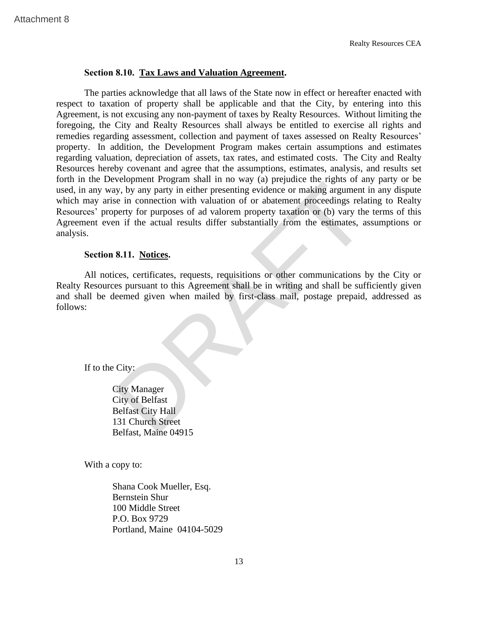# **Section 8.10. Tax Laws and Valuation Agreement.**

The parties acknowledge that all laws of the State now in effect or hereafter enacted with respect to taxation of property shall be applicable and that the City, by entering into this Agreement, is not excusing any non-payment of taxes by Realty Resources. Without limiting the foregoing, the City and Realty Resources shall always be entitled to exercise all rights and remedies regarding assessment, collection and payment of taxes assessed on Realty Resources' property. In addition, the Development Program makes certain assumptions and estimates regarding valuation, depreciation of assets, tax rates, and estimated costs. The City and Realty Resources hereby covenant and agree that the assumptions, estimates, analysis, and results set forth in the Development Program shall in no way (a) prejudice the rights of any party or be used, in any way, by any party in either presenting evidence or making argument in any dispute which may arise in connection with valuation of or abatement proceedings relating to Realty Resources' property for purposes of ad valorem property taxation or (b) vary the terms of this Agreement even if the actual results differ substantially from the estimates, assumptions or analysis. Realty<br> **Section 8.10. <u>Tax Laws and Valuation Agreement</u>.**<br>
The parties acknowledge that all laws of the State now in effect or hereafter<br>
respect to taxtaction of property shall be applicable and that the City, by ensu<br>

# **Section 8.11. Notices.**

All notices, certificates, requests, requisitions or other communications by the City or Realty Resources pursuant to this Agreement shall be in writing and shall be sufficiently given and shall be deemed given when mailed by first-class mail, postage prepaid, addressed as follows:

If to the City:

City Manager City of Belfast Belfast City Hall 131 Church Street Belfast, Maine 04915

With a copy to:

Shana Cook Mueller, Esq. Bernstein Shur 100 Middle Street P.O. Box 9729 Portland, Maine 04104-5029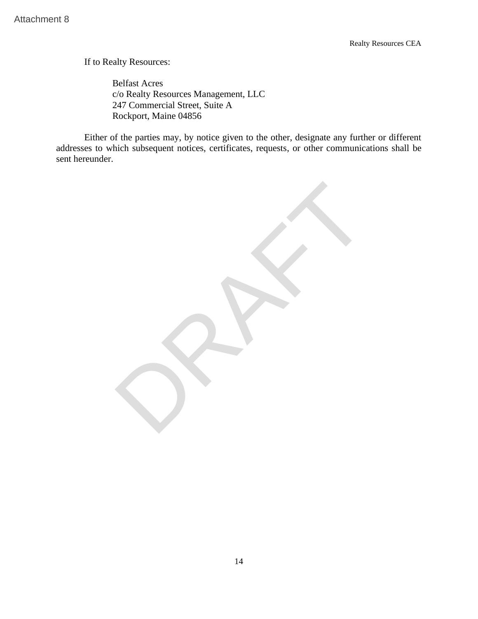If to Realty Resources:

Belfast Acres c/o Realty Resources Management, LLC 247 Commercial Street, Suite A Rockport, Maine 04856

Either of the parties may, by notice given to the other, designate any further or different addresses to which subsequent notices, certificates, requests, or other communications shall be sent hereunder.

Attachment 8<br>
If to Realty Resources:<br>
Belfast Acres<br>
co Realty Resources Management, LLC<br>
247 Conmercial Street. Suite A<br>
Either of the parties may, by notice given to the other, designate any furth<br>
addresses to which su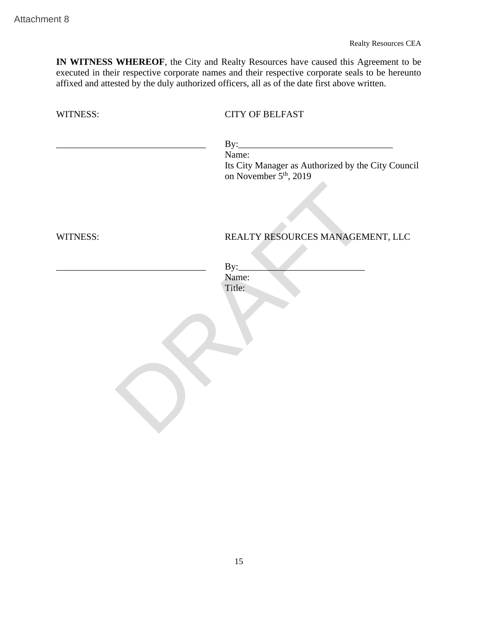| IN WITNESS WHEREOF, the City and Realty Resources have caused this Agreement to be<br>executed in their respective corporate names and their respective corporate seals to be hereunto<br>affixed and attested by the duly authorized officers, all as of the date first above written.<br><b>CITY OF BELFAST</b><br>WITNESS:<br>By:<br>Name:<br>Its City Manager as Authorized by the City Council<br>on November 5 <sup>th</sup> , 2019<br>REALTY RESOURCES MANAGEMENT, LLC<br>WITNESS:<br>$\text{By:}\_$<br>Name:<br>Title: | <b>Realty Resources CEA</b> |
|--------------------------------------------------------------------------------------------------------------------------------------------------------------------------------------------------------------------------------------------------------------------------------------------------------------------------------------------------------------------------------------------------------------------------------------------------------------------------------------------------------------------------------|-----------------------------|
|                                                                                                                                                                                                                                                                                                                                                                                                                                                                                                                                |                             |
|                                                                                                                                                                                                                                                                                                                                                                                                                                                                                                                                |                             |
|                                                                                                                                                                                                                                                                                                                                                                                                                                                                                                                                |                             |
|                                                                                                                                                                                                                                                                                                                                                                                                                                                                                                                                |                             |
|                                                                                                                                                                                                                                                                                                                                                                                                                                                                                                                                |                             |
|                                                                                                                                                                                                                                                                                                                                                                                                                                                                                                                                |                             |
|                                                                                                                                                                                                                                                                                                                                                                                                                                                                                                                                |                             |
|                                                                                                                                                                                                                                                                                                                                                                                                                                                                                                                                |                             |
|                                                                                                                                                                                                                                                                                                                                                                                                                                                                                                                                |                             |
|                                                                                                                                                                                                                                                                                                                                                                                                                                                                                                                                |                             |
|                                                                                                                                                                                                                                                                                                                                                                                                                                                                                                                                |                             |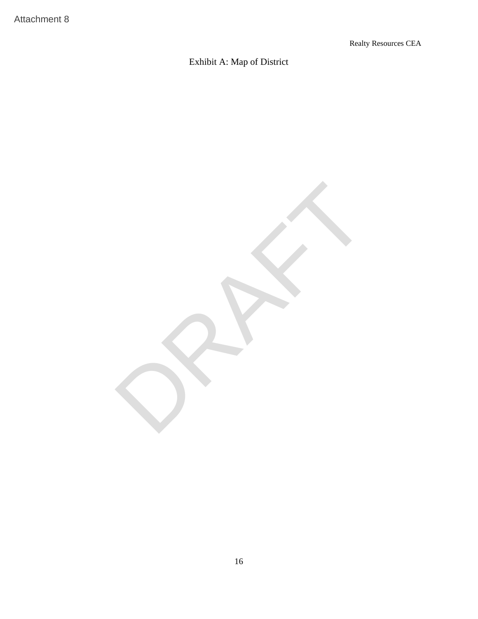# Exhibit A: Map of District

Attachment 8<br>Exhibit A: Map of District<br>Really<br>Really